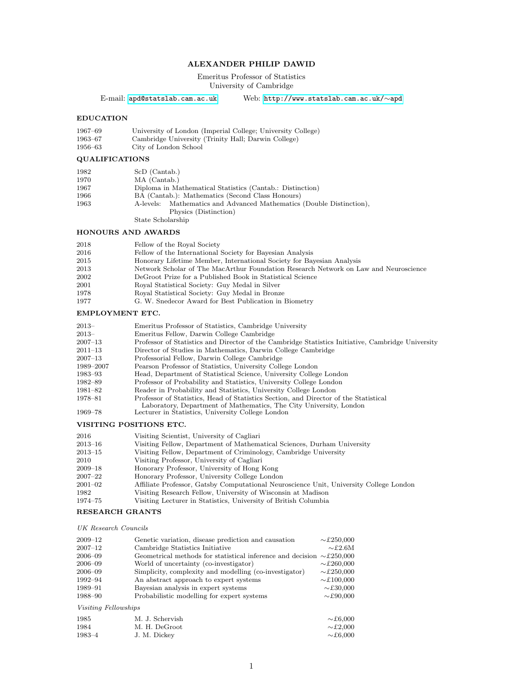## ALEXANDER PHILIP DAWID

Emeritus Professor of Statistics University of Cambridge

E-mail: [apd@statslab.cam.ac.uk](mailto:apd@statslab.cam.ac.uk) Web: [http://www.statslab.cam.ac.uk/](http://www.statslab.cam.ac.uk/~apd)∼apd

## EDUCATION

| 1967–69 | University of London (Imperial College; University College) |
|---------|-------------------------------------------------------------|
| 1963–67 | Cambridge University (Trinity Hall; Darwin College)         |
| 1956–63 | City of London School                                       |

## QUALIFICATIONS

| 1982 | ScD (Cantab.)                                                        |
|------|----------------------------------------------------------------------|
| 1970 | MA (Cantab.)                                                         |
| 1967 | Diploma in Mathematical Statistics (Cantab.: Distinction)            |
| 1966 | BA (Cantab.): Mathematics (Second Class Honours)                     |
| 1963 | A-levels: Mathematics and Advanced Mathematics (Double Distinction), |
|      | Physics (Distinction)                                                |
|      | State Scholarship                                                    |

### HONOURS AND AWARDS

| 2018 | Fellow of the Royal Society                                                          |
|------|--------------------------------------------------------------------------------------|
| 2016 | Fellow of the International Society for Bayesian Analysis                            |
| 2015 | Honorary Lifetime Member, International Society for Bayesian Analysis                |
| 2013 | Network Scholar of The MacArthur Foundation Research Network on Law and Neuroscience |
| 2002 | DeGroot Prize for a Published Book in Statistical Science                            |
| 2001 | Royal Statistical Society: Guy Medal in Silver                                       |
| 1978 | Royal Statistical Society: Guy Medal in Bronze                                       |
| 1977 | G. W. Snedecor Award for Best Publication in Biometry                                |
|      |                                                                                      |

# EMPLOYMENT ETC.

| $2013-$     | Emeritus Professor of Statistics, Cambridge University                                                                                                     |
|-------------|------------------------------------------------------------------------------------------------------------------------------------------------------------|
| $2013-$     | Emeritus Fellow, Darwin College Cambridge                                                                                                                  |
| $2007 - 13$ | Professor of Statistics and Director of the Cambridge Statistics Initiative, Cambridge University                                                          |
| $2011 - 13$ | Director of Studies in Mathematics, Darwin College Cambridge                                                                                               |
| $2007 - 13$ | Professorial Fellow, Darwin College Cambridge                                                                                                              |
| 1989–2007   | Pearson Professor of Statistics, University College London                                                                                                 |
| 1983–93     | Head, Department of Statistical Science, University College London                                                                                         |
| 1982–89     | Professor of Probability and Statistics, University College London                                                                                         |
| 1981–82     | Reader in Probability and Statistics, University College London                                                                                            |
| 1978–81     | Professor of Statistics, Head of Statistics Section, and Director of the Statistical<br>Laboratory, Department of Mathematics, The City University, London |
| 1969–78     | Lecturer in Statistics, University College London                                                                                                          |

## VISITING POSITIONS ETC.

| 2016                | Visiting Scientist, University of Cagliari                                             |
|---------------------|----------------------------------------------------------------------------------------|
| $2013 \hbox{--} 16$ | Visiting Fellow, Department of Mathematical Sciences, Durham University                |
| $2013 - 15$         | Visiting Fellow, Department of Criminology, Cambridge University                       |
| 2010                | Visiting Professor, University of Cagliari                                             |
| $2009 - 18$         | Honorary Professor, University of Hong Kong                                            |
| 2007–22             | Honorary Professor, University College London                                          |
| $2001 - 02$         | Affiliate Professor, Gatsby Computational Neuroscience Unit, University College London |
| 1982                | Visiting Research Fellow, University of Wisconsin at Madison                           |
| 1974–75             | Visiting Lecturer in Statistics, University of British Columbia                        |
|                     |                                                                                        |

### RESEARCH GRANTS

#### UK Research Councils

| $2009 - 12$ | Genetic variation, disease prediction and causation                               | $\sim$ £250,000 |
|-------------|-----------------------------------------------------------------------------------|-----------------|
| $2007 - 12$ | Cambridge Statistics Initiative                                                   | $\sim$ £2.6M    |
| $2006 - 09$ | Geometrical methods for statistical inference and decision $\sim \pounds 250,000$ |                 |
| $2006 - 09$ | World of uncertainty (co-investigator)                                            | $\sim$ £260.000 |
| $2006 - 09$ | Simplicity, complexity and modelling (co-investigator)                            | $\sim$ £250,000 |
| 1992–94     | An abstract approach to expert systems                                            | $\sim$ £100,000 |
| 1989-91     | Bayesian analysis in expert systems                                               | $\sim$ £30,000  |
| 1988-90     | Probabilistic modelling for expert systems                                        | $\sim$ £90,000  |
|             | $U_{\alpha\alpha}$ is $F_{\alpha}U_{\alpha\alpha\beta}$                           |                 |

### Visiting Fellowships

| 1985   | M. J. Schervish | $\sim$ £6,000 |
|--------|-----------------|---------------|
| 1984   | M. H. DeGroot   | $\sim$ £2,000 |
| 1983-4 | J. M. Dickey    | $\sim$ £6,000 |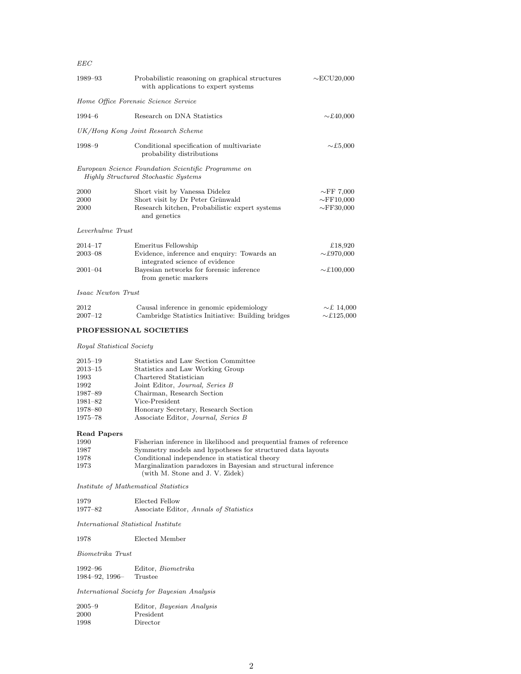### EEC

| 1989–93                                     | Probabilistic reasoning on graphical structures<br>with applications to expert systems                                               | $\sim$ ECU20,000                                      |
|---------------------------------------------|--------------------------------------------------------------------------------------------------------------------------------------|-------------------------------------------------------|
| Home Office Forensic Science Service        |                                                                                                                                      |                                                       |
| $1994 - 6$                                  | Research on DNA Statistics                                                                                                           | $\sim$ £40,000                                        |
|                                             | UK/Hong Kong Joint Research Scheme                                                                                                   |                                                       |
| 1998–9                                      | Conditional specification of multivariate<br>probability distributions                                                               | $\sim$ £5,000                                         |
|                                             | European Science Foundation Scientific Programme on<br><b>Highly Structured Stochastic Systems</b>                                   |                                                       |
| 2000<br>2000<br>2000                        | Short visit by Vanessa Didelez<br>Short visit by Dr Peter Grünwald<br>Research kitchen, Probabilistic expert systems<br>and genetics | $\sim$ FF 7,000<br>$\sim$ FF10,000<br>$\sim$ FF30,000 |
| Leverhulme Trust                            |                                                                                                                                      |                                                       |
| $2014 - 17$                                 | Emeritus Fellowship                                                                                                                  | £18,920                                               |
| $2003 - 08$                                 | Evidence, inference and enquiry: Towards an                                                                                          | $\sim$ £970,000                                       |
|                                             | integrated science of evidence                                                                                                       |                                                       |
| $2001 - 04$                                 | Bayesian networks for forensic inference<br>from genetic markers                                                                     | $\sim$ £100,000                                       |
| <i>Isaac Newton Trust</i>                   |                                                                                                                                      |                                                       |
| 2012<br>$2007 - 12$                         | Causal inference in genomic epidemiology<br>Cambridge Statistics Initiative: Building bridges                                        | $\sim$ £ 14,000<br>$\sim$ £125,000                    |
|                                             | PROFESSIONAL SOCIETIES                                                                                                               |                                                       |
| <i>Royal Statistical Society</i>            |                                                                                                                                      |                                                       |
|                                             |                                                                                                                                      |                                                       |
| $2015 - 19$                                 | Statistics and Law Section Committee                                                                                                 |                                                       |
| $2013 - 15$                                 | Statistics and Law Working Group                                                                                                     |                                                       |
| 1993                                        | Chartered Statistician                                                                                                               |                                                       |
| 1992                                        | Joint Editor, Journal, Series B                                                                                                      |                                                       |
| 1987–89                                     | Chairman, Research Section                                                                                                           |                                                       |
| 1981-82                                     | Vice-President                                                                                                                       |                                                       |
| 1978-80                                     | Honorary Secretary, Research Section                                                                                                 |                                                       |
| 1975–78                                     | Associate Editor, Journal, Series B                                                                                                  |                                                       |
| Read Papers                                 |                                                                                                                                      |                                                       |
| 1990                                        | Fisherian inference in likelihood and prequential frames of reference                                                                |                                                       |
| 1987                                        | Symmetry models and hypotheses for structured data layouts                                                                           |                                                       |
| 1978<br>1973                                | Conditional independence in statistical theory<br>Marginalization paradoxes in Bayesian and structural inference                     |                                                       |
|                                             | (with M. Stone and J. V. Zidek)                                                                                                      |                                                       |
|                                             | <i>Institute of Mathematical Statistics</i>                                                                                          |                                                       |
| 1979                                        | Elected Fellow                                                                                                                       |                                                       |
| 1977–82                                     | Associate Editor, Annals of Statistics                                                                                               |                                                       |
| <i>International Statistical Institute</i>  |                                                                                                                                      |                                                       |
| 1978                                        | Elected Member                                                                                                                       |                                                       |
| Biometrika Trust                            |                                                                                                                                      |                                                       |
| 1992–96                                     | Editor, <i>Biometrika</i>                                                                                                            |                                                       |
| 1984–92, 1996–                              | Trustee                                                                                                                              |                                                       |
| International Society for Bayesian Analysis |                                                                                                                                      |                                                       |
| $2005 - 9$                                  | Editor, Bayesian Analysis                                                                                                            |                                                       |
| 2000                                        | President                                                                                                                            |                                                       |
| 1998                                        | Director                                                                                                                             |                                                       |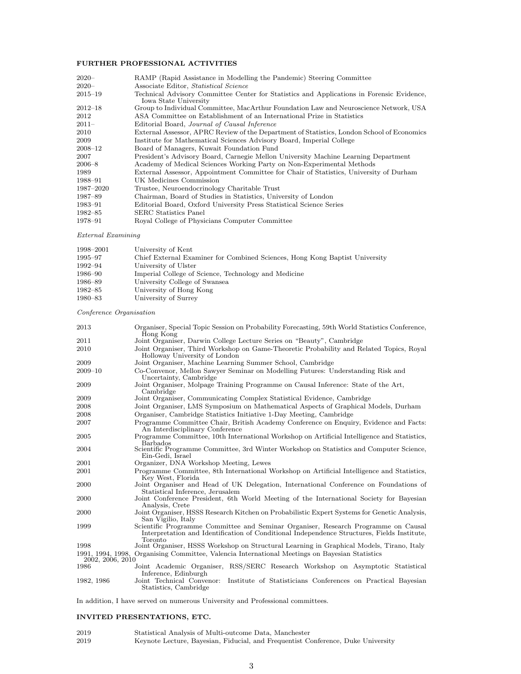### FURTHER PROFESSIONAL ACTIVITIES

| $2020 -$    | RAMP (Rapid Assistance in Modelling the Pandemic) Steering Committee                                               |
|-------------|--------------------------------------------------------------------------------------------------------------------|
| $2020 -$    | Associate Editor, Statistical Science                                                                              |
| $2015 - 19$ | Technical Advisory Committee Center for Statistics and Applications in Forensic Evidence,<br>Iowa State University |
| 2012–18     | Group to Individual Committee, MacArthur Foundation Law and Neuroscience Network, USA                              |
| 2012        | ASA Committee on Establishment of an International Prize in Statistics                                             |
| $2011-$     | Editorial Board, Journal of Causal Inference                                                                       |
| 2010        | External Assessor, APRC Review of the Department of Statistics, London School of Economics                         |
| 2009        | Institute for Mathematical Sciences Advisory Board, Imperial College                                               |
| 2008–12     | Board of Managers, Kuwait Foundation Fund                                                                          |
| 2007        | President's Advisory Board, Carnegie Mellon University Machine Learning Department                                 |
| 2006–8      | Academy of Medical Sciences Working Party on Non-Experimental Methods                                              |
| 1989        | External Assessor, Appointment Committee for Chair of Statistics, University of Durham                             |
| 1988–91     | UK Medicines Commission                                                                                            |
| 1987–2020   | Trustee, Neuroendocrinology Charitable Trust                                                                       |
| 1987–89     | Chairman, Board of Studies in Statistics, University of London                                                     |
| 1983–91     | Editorial Board, Oxford University Press Statistical Science Series                                                |
| 1982–85     | <b>SERC</b> Statistics Panel                                                                                       |
| 1978-91     | Royal College of Physicians Computer Committee                                                                     |
|             |                                                                                                                    |

External Examining

| 1998–2001   | University of Kent                                                          |
|-------------|-----------------------------------------------------------------------------|
| 1995–97     | Chief External Examiner for Combined Sciences, Hong Kong Baptist University |
| 1992–94     | University of Ulster                                                        |
| 1986–90     | Imperial College of Science, Technology and Medicine                        |
| 1986–89     | University College of Swansea                                               |
| $1982 - 85$ | University of Hong Kong                                                     |
| 1980–83     | University of Surrey                                                        |

Conference Organisation

| 2013             | Organiser, Special Topic Session on Probability Forecasting, 59th World Statistics Conference,<br>Hong Kong                                                                                  |
|------------------|----------------------------------------------------------------------------------------------------------------------------------------------------------------------------------------------|
| 2011             | Joint Organiser, Darwin College Lecture Series on "Beauty", Cambridge                                                                                                                        |
| 2010             | Joint Organiser, Third Workshop on Game-Theoretic Probability and Related Topics, Royal<br>Holloway University of London                                                                     |
| 2009             | Joint Organiser, Machine Learning Summer School, Cambridge                                                                                                                                   |
| $2009 - 10$      | Co-Convenor, Mellon Sawyer Seminar on Modelling Futures: Understanding Risk and<br>Uncertainty, Cambridge                                                                                    |
| 2009             | Joint Organiser, Molpage Training Programme on Causal Inference: State of the Art,<br>Cambridge                                                                                              |
| 2009             | Joint Organiser, Communicating Complex Statistical Evidence, Cambridge                                                                                                                       |
| 2008             | Joint Organiser, LMS Symposium on Mathematical Aspects of Graphical Models, Durham                                                                                                           |
| 2008             | Organiser, Cambridge Statistics Initiative 1-Day Meeting, Cambridge                                                                                                                          |
| 2007             | Programme Committee Chair, British Academy Conference on Enquiry, Evidence and Facts:<br>An Interdisciplinary Conference                                                                     |
| 2005             | Programme Committee, 10th International Workshop on Artificial Intelligence and Statistics,                                                                                                  |
| 2004             | <b>Barbados</b><br>Scientific Programme Committee, 3rd Winter Workshop on Statistics and Computer Science,<br>Ein-Gedi, Israel                                                               |
| 2001             | Organizer, DNA Workshop Meeting, Lewes                                                                                                                                                       |
| 2001             | Programme Committee, 8th International Workshop on Artificial Intelligence and Statistics,<br>Key West, Florida                                                                              |
| 2000             | Joint Organiser and Head of UK Delegation, International Conference on Foundations of<br>Statistical Inference, Jerusalem                                                                    |
| 2000             | Joint Conference President, 6th World Meeting of the International Society for Bayesian<br>Analysis, Crete                                                                                   |
| 2000             | Joint Organiser, HSSS Research Kitchen on Probabilistic Expert Systems for Genetic Analysis,<br>San Vigilio, Italy                                                                           |
| 1999             | Scientific Programme Committee and Seminar Organiser, Research Programme on Causal<br>Interpretation and Identification of Conditional Independence Structures, Fields Institute,<br>Toronto |
| 1998             | Joint Organiser, HSSS Workshop on Structural Learning in Graphical Models, Tirano, Italy                                                                                                     |
| 2002, 2006, 2010 | 1991, 1994, 1998, Organising Committee, Valencia International Meetings on Bayesian Statistics                                                                                               |
| 1986             | Joint Academic Organiser, RSS/SERC Research Workshop on Asymptotic Statistical<br>Inference, Edinburgh                                                                                       |
| 1982, 1986       | Institute of Statisticians Conferences on Practical Bayesian<br>Joint Technical Convenor:<br>Statistics, Cambridge                                                                           |
|                  |                                                                                                                                                                                              |

In addition, I have served on numerous University and Professional committees.

## INVITED PRESENTATIONS, ETC.

| 2019 | Statistical Analysis of Multi-outcome Data, Manchester                           |
|------|----------------------------------------------------------------------------------|
| 2019 | Keynote Lecture, Bayesian, Fiducial, and Frequentist Conference, Duke University |
|      |                                                                                  |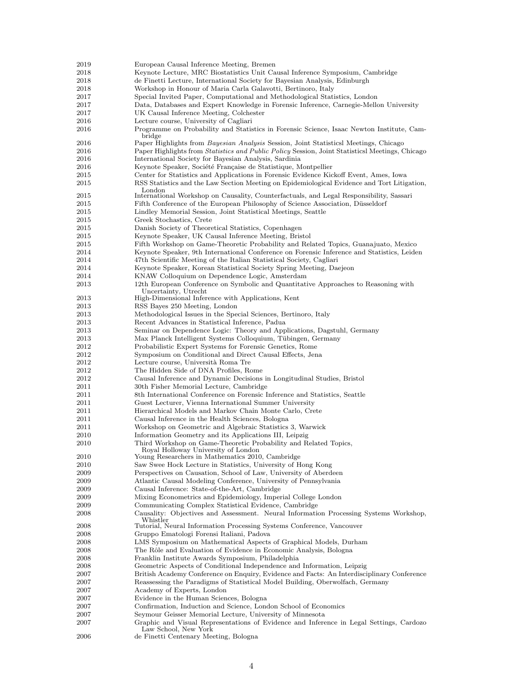| 2019         | European Causal Inference Meeting, Bremen                                                                                                    |
|--------------|----------------------------------------------------------------------------------------------------------------------------------------------|
| 2018         | Keynote Lecture, MRC Biostatistics Unit Causal Inference Symposium, Cambridge                                                                |
| 2018         | de Finetti Lecture, International Society for Bayesian Analysis, Edinburgh                                                                   |
| 2018         | Workshop in Honour of Maria Carla Galavotti, Bertinoro, Italy                                                                                |
| 2017         | Special Invited Paper, Computational and Methodological Statistics, London                                                                   |
| 2017         | Data, Databases and Expert Knowledge in Forensic Inference, Carnegie-Mellon University                                                       |
| 2017         | UK Causal Inference Meeting, Colchester                                                                                                      |
| 2016         | Lecture course, University of Cagliari                                                                                                       |
| 2016         | Programme on Probability and Statistics in Forensic Science, Isaac Newton Institute, Cam-<br>bridge                                          |
| 2016         | Paper Highlights from <i>Bayesian Analysis</i> Session, Joint Statisticsl Meetings, Chicago                                                  |
| 2016         | Paper Highlights from <i>Statistics and Public Policy</i> Session, Joint Statisticsl Meetings, Chicago                                       |
| 2016         | International Society for Bayesian Analysis, Sardinia                                                                                        |
| 2016         | Keynote Speaker, Société Française de Statistique, Montpellier                                                                               |
| 2015         | Center for Statistics and Applications in Forensic Evidence Kickoff Event, Ames, Iowa                                                        |
| 2015         | RSS Statistics and the Law Section Meeting on Epidemiological Evidence and Tort Litigation,<br>London                                        |
| 2015         | International Workshop on Causality, Counterfactuals, and Legal Responsibility, Sassari                                                      |
| 2015         | Fifth Conference of the European Philosophy of Science Association, Düsseldorf                                                               |
| 2015         | Lindley Memorial Session, Joint Statistical Meetings, Seattle                                                                                |
| 2015         | Greek Stochastics, Crete                                                                                                                     |
| 2015         | Danish Society of Theoretical Statistics, Copenhagen                                                                                         |
| 2015         | Keynote Speaker, UK Causal Inference Meeting, Bristol<br>Fifth Workshop on Game-Theoretic Probability and Related Topics, Guanajuato, Mexico |
| 2015<br>2014 | Keynote Speaker, 9th International Conference on Forensic Inference and Statistics, Leiden                                                   |
| 2014         | 47th Scientific Meeting of the Italian Statistical Society, Cagliari                                                                         |
| 2014         | Keynote Speaker, Korean Statistical Society Spring Meeting, Daejeon                                                                          |
| 2014         | KNAW Colloquium on Dependence Logic, Amsterdam                                                                                               |
| 2013         | 12th European Conference on Symbolic and Quantitative Approaches to Reasoning with                                                           |
|              | Uncertainty, Utrecht                                                                                                                         |
| 2013         | High-Dimensional Inference with Applications, Kent                                                                                           |
| 2013         | RSS Bayes 250 Meeting, London                                                                                                                |
| 2013         | Methodological Issues in the Special Sciences, Bertinoro, Italy                                                                              |
| 2013         | Recent Advances in Statistical Inference, Padua                                                                                              |
| 2013         | Seminar on Dependence Logic: Theory and Applications, Dagstuhl, Germany                                                                      |
| 2013         | Max Planck Intelligent Systems Colloquium, Tübingen, Germany                                                                                 |
| 2012         | Probabilistic Expert Systems for Forensic Genetics, Rome                                                                                     |
| 2012         | Symposium on Conditional and Direct Causal Effects, Jena                                                                                     |
| 2012         | Lecture course, Università Roma Tre                                                                                                          |
| 2012<br>2012 | The Hidden Side of DNA Profiles, Rome<br>Causal Inference and Dynamic Decisions in Longitudinal Studies, Bristol                             |
| 2011         | 30th Fisher Memorial Lecture, Cambridge                                                                                                      |
| 2011         | 8th International Conference on Forensic Inference and Statistics, Seattle                                                                   |
| 2011         | Guest Lecturer, Vienna International Summer University                                                                                       |
| 2011         | Hierarchical Models and Markov Chain Monte Carlo, Crete                                                                                      |
| 2011         | Causal Inference in the Health Sciences, Bologna                                                                                             |
| 2011         | Workshop on Geometric and Algebraic Statistics 3, Warwick                                                                                    |
| 2010         | Information Geometry and its Applications III, Leipzig                                                                                       |
| 2010         | Third Workshop on Game-Theoretic Probability and Related Topics,<br>Royal Holloway University of London                                      |
| 2010         | Young Researchers in Mathematics 2010, Cambridge                                                                                             |
| 2010         | Saw Swee Hock Lecture in Statistics, University of Hong Kong                                                                                 |
| 2009         | Perspectives on Causation, School of Law, University of Aberdeen                                                                             |
| 2009         | Atlantic Causal Modeling Conference, University of Pennsylvania                                                                              |
| 2009<br>2009 | Causal Inference: State-of-the-Art, Cambridge<br>Mixing Econometrics and Epidemiology, Imperial College London                               |
| 2009         | Communicating Complex Statistical Evidence, Cambridge                                                                                        |
| 2008         | Causality: Objectives and Assessment. Neural Information Processing Systems Workshop,<br>Whistler                                            |
| 2008         | Tutorial, Neural Information Processing Systems Conference, Vancouver                                                                        |
| 2008         | Gruppo Ematologi Forensi Italiani, Padova                                                                                                    |
| 2008         | LMS Symposium on Mathematical Aspects of Graphical Models, Durham                                                                            |
| 2008         | The Rôle and Evaluation of Evidence in Economic Analysis, Bologna                                                                            |
| 2008         | Franklin Institute Awards Symposium, Philadelphia                                                                                            |
| 2008         | Geometric Aspects of Conditional Independence and Information, Leipzig                                                                       |
| 2007         | British Academy Conference on Enquiry, Evidence and Facts: An Interdisciplinary Conference                                                   |
| 2007         | Reassessing the Paradigms of Statistical Model Building, Oberwolfach, Germany                                                                |
| 2007         | Academy of Experts, London                                                                                                                   |
| 2007<br>2007 | Evidence in the Human Sciences, Bologna<br>Confirmation, Induction and Science, London School of Economics                                   |
| 2007         | Seymour Geisser Memorial Lecture, University of Minnesota                                                                                    |
| 2007         | Graphic and Visual Representations of Evidence and Inference in Legal Settings, Cardozo                                                      |
|              | Law School, New York                                                                                                                         |

2006 de Finetti Centenary Meeting, Bologna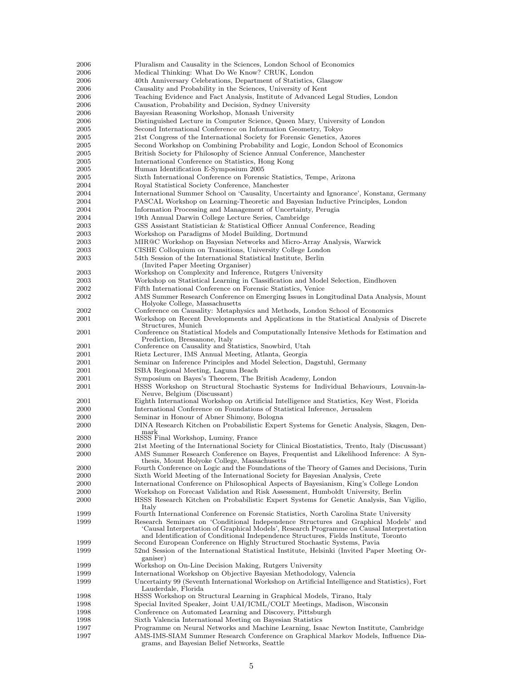| 2006        | Pluralism and Causality in the Sciences, London School of Economics                                                                                                             |
|-------------|---------------------------------------------------------------------------------------------------------------------------------------------------------------------------------|
| 2006        | Medical Thinking: What Do We Know? CRUK, London                                                                                                                                 |
| 2006        | 40th Anniversary Celebrations, Department of Statistics, Glasgow                                                                                                                |
| 2006        | Causality and Probability in the Sciences, University of Kent                                                                                                                   |
| 2006        | Teaching Evidence and Fact Analysis, Institute of Advanced Legal Studies, London                                                                                                |
| 2006        | Causation, Probability and Decision, Sydney University                                                                                                                          |
| 2006        | Bayesian Reasoning Workshop, Monash University                                                                                                                                  |
| 2006        | Distinguished Lecture in Computer Science, Queen Mary, University of London                                                                                                     |
| 2005        | Second International Conference on Information Geometry, Tokyo                                                                                                                  |
| 2005        | 21st Congress of the International Society for Forensic Genetics, Azores                                                                                                        |
| 2005        | Second Workshop on Combining Probability and Logic, London School of Economics                                                                                                  |
| 2005        | British Society for Philosophy of Science Annual Conference, Manchester                                                                                                         |
| 2005        | International Conference on Statistics, Hong Kong                                                                                                                               |
| 2005        | Human Identification E-Symposium 2005                                                                                                                                           |
| 2005        | Sixth International Conference on Forensic Statistics, Tempe, Arizona                                                                                                           |
|             |                                                                                                                                                                                 |
| 2004        | Royal Statistical Society Conference, Manchester                                                                                                                                |
| 2004        | International Summer School on 'Causality, Uncertainty and Ignorance', Konstanz, Germany                                                                                        |
| 2004        | PASCAL Workshop on Learning-Theoretic and Bayesian Inductive Principles, London                                                                                                 |
| 2004        | Information Processing and Management of Uncertainty, Perugia                                                                                                                   |
| 2004        | 19th Annual Darwin College Lecture Series, Cambridge                                                                                                                            |
| 2003        | GSS Assistant Statistician & Statistical Officer Annual Conference, Reading                                                                                                     |
| 2003        | Workshop on Paradigms of Model Building, Dortmund                                                                                                                               |
| 2003        | MIR@C Workshop on Bayesian Networks and Micro-Array Analysis, Warwick                                                                                                           |
| 2003        | CISHE Colloquium on Transitions, University College London                                                                                                                      |
| 2003        | 54th Session of the International Statistical Institute, Berlin                                                                                                                 |
|             | (Invited Paper Meeting Organiser)                                                                                                                                               |
| 2003        | Workshop on Complexity and Inference, Rutgers University                                                                                                                        |
| 2003        | Workshop on Statistical Learning in Classification and Model Selection, Eindhoven                                                                                               |
| 2002        | Fifth International Conference on Forensic Statistics, Venice                                                                                                                   |
| 2002        | AMS Summer Research Conference on Emerging Issues in Longitudinal Data Analysis, Mount                                                                                          |
|             | Holyoke College, Massachusetts                                                                                                                                                  |
| 2002        | Conference on Causality: Metaphysics and Methods, London School of Economics                                                                                                    |
| 2001        | Workshop on Recent Developments and Applications in the Statistical Analysis of Discrete                                                                                        |
|             | Structures, Munich                                                                                                                                                              |
| 2001        | Conference on Statistical Models and Computationally Intensive Methods for Estimation and                                                                                       |
|             | Prediction, Bressanone, Italy                                                                                                                                                   |
| 2001        | Conference on Causality and Statistics, Snowbird, Utah                                                                                                                          |
| 2001        | Rietz Lecturer, IMS Annual Meeting, Atlanta, Georgia                                                                                                                            |
| 2001        | Seminar on Inference Principles and Model Selection, Dagstuhl, Germany                                                                                                          |
| 2001        | ISBA Regional Meeting, Laguna Beach                                                                                                                                             |
| 2001        | Symposium on Bayes's Theorem, The British Academy, London                                                                                                                       |
| 2001        | HSSS Workshop on Structural Stochastic Systems for Individual Behaviours, Louvain-la-                                                                                           |
|             | Neuve, Belgium (Discussant)                                                                                                                                                     |
| 2001        | Eighth International Workshop on Artificial Intelligence and Statistics, Key West, Florida                                                                                      |
| 2000        | International Conference on Foundations of Statistical Inference, Jerusalem                                                                                                     |
| 2000        | Seminar in Honour of Abner Shimony, Bologna                                                                                                                                     |
| <b>2000</b> | DINA Research Kitchen on Probabilistic Expert Systems for Genetic Analysis, Skagen, Den-                                                                                        |
|             | mark                                                                                                                                                                            |
| 2000        | HSSS Final Workshop, Luminy, France                                                                                                                                             |
| 2000        | 21st Meeting of the International Society for Clinical Biostatistics, Trento, Italy (Discussant)                                                                                |
| 2000        | AMS Summer Research Conference on Bayes, Frequentist and Likelihood Inference: A Syn-                                                                                           |
|             | thesis, Mount Holyoke College, Massachusetts                                                                                                                                    |
| 2000        | Fourth Conference on Logic and the Foundations of the Theory of Games and Decisions, Turin                                                                                      |
| 2000        | Sixth World Meeting of the International Society for Bayesian Analysis, Crete                                                                                                   |
| 2000        | International Conference on Philosophical Aspects of Bayesianism, King's College London                                                                                         |
| 2000        | Workshop on Forecast Validation and Risk Assessment, Humboldt University, Berlin                                                                                                |
| 2000        | HSSS Research Kitchen on Probabilistic Expert Systems for Genetic Analysis, San Vigilio,                                                                                        |
|             | Italy                                                                                                                                                                           |
| 1999        | Fourth International Conference on Forensic Statistics, North Carolina State University                                                                                         |
| 1999        | Research Seminars on 'Conditional Independence Structures and Graphical Models' and<br>'Causal Interpretation of Graphical Models', Research Programme on Causal Interpretation |
|             | and Identification of Conditional Independence Structures, Fields Institute, Toronto                                                                                            |
| 1999        | Second European Conference on Highly Structured Stochastic Systems, Pavia                                                                                                       |
| 1999        | 52nd Session of the International Statistical Institute, Helsinki (Invited Paper Meeting Or-                                                                                    |
|             | ganiser)                                                                                                                                                                        |
| 1999        | Workshop on On-Line Decision Making, Rutgers University                                                                                                                         |
| 1999        | International Workshop on Objective Bayesian Methodology, Valencia                                                                                                              |
| 1999        | Uncertainty 99 (Seventh International Workshop on Artificial Intelligence and Statistics), Fort                                                                                 |
|             | Lauderdale, Florida                                                                                                                                                             |
| 1998        | HSSS Workshop on Structural Learning in Graphical Models, Tirano, Italy                                                                                                         |
| 1998        | Special Invited Speaker, Joint UAI/ICML/COLT Meetings, Madison, Wisconsin                                                                                                       |
| 1998        | Conference on Automated Learning and Discovery, Pittsburgh                                                                                                                      |
| 1998        | Sixth Valencia International Meeting on Bayesian Statistics                                                                                                                     |
| 1997        | Programme on Neural Networks and Machine Learning, Isaac Newton Institute, Cambridge                                                                                            |
| 1997        | AMS-IMS-SIAM Summer Research Conference on Graphical Markov Models, Influence Dia-<br>grams, and Bayesian Belief Networks, Seattle                                              |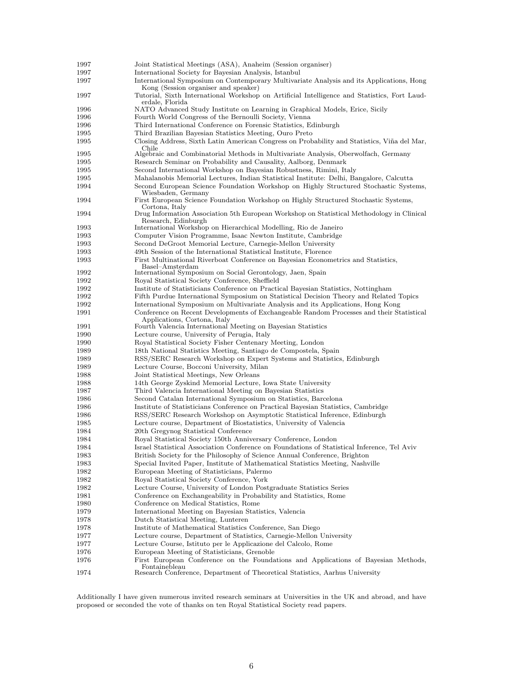| 1997         | Joint Statistical Meetings (ASA), Anaheim (Session organiser)                                                                  |
|--------------|--------------------------------------------------------------------------------------------------------------------------------|
| 1997         | International Society for Bayesian Analysis, Istanbul                                                                          |
| 1997         | International Symposium on Contemporary Multivariate Analysis and its Applications, Hong                                       |
|              | Kong (Session organiser and speaker)                                                                                           |
| 1997         | Tutorial, Sixth International Workshop on Artificial Intelligence and Statistics, Fort Laud-                                   |
| 1996         | erdale, Florida<br>NATO Advanced Study Institute on Learning in Graphical Models, Erice, Sicily                                |
| 1996         | Fourth World Congress of the Bernoulli Society, Vienna                                                                         |
| 1996         | Third International Conference on Forensic Statistics, Edinburgh                                                               |
| 1995         | Third Brazilian Bayesian Statistics Meeting, Ouro Preto                                                                        |
| 1995         | Closing Address, Sixth Latin American Congress on Probability and Statistics, Viña del Mar,                                    |
|              | Chile                                                                                                                          |
| 1995         | Algebraic and Combinatorial Methods in Multivariate Analysis, Oberwolfach, Germany                                             |
| 1995         | Research Seminar on Probability and Causality, Aalborg, Denmark                                                                |
| 1995         | Second International Workshop on Bayesian Robustness, Rimini, Italy                                                            |
| 1995         | Mahalanobis Memorial Lectures, Indian Statistical Institute: Delhi, Bangalore, Calcutta                                        |
| 1994         | Second European Science Foundation Workshop on Highly Structured Stochastic Systems,                                           |
| 1994         | Wiesbaden, Germany<br>First European Science Foundation Workshop on Highly Structured Stochastic Systems,                      |
|              | Cortona, Italy                                                                                                                 |
| 1994         | Drug Information Association 5th European Workshop on Statistical Methodology in Clinical                                      |
|              | Research, Edinburgh                                                                                                            |
| 1993         | International Workshop on Hierarchical Modelling, Rio de Janeiro                                                               |
| 1993         | Computer Vision Programme, Isaac Newton Institute, Cambridge                                                                   |
| 1993         | Second DeGroot Memorial Lecture, Carnegie-Mellon University                                                                    |
| 1993         | 49th Session of the International Statistical Institute, Florence                                                              |
| 1993         | First Multinational Riverboat Conference on Bayesian Econometrics and Statistics,                                              |
| 1992         | Basel-Amsterdam<br>International Symposium on Social Gerontology, Jaen, Spain                                                  |
| 1992         | Royal Statistical Society Conference, Sheffield                                                                                |
| 1992         | Institute of Statisticians Conference on Practical Bayesian Statistics, Nottingham                                             |
| 1992         | Fifth Purdue International Symposium on Statistical Decision Theory and Related Topics                                         |
| 1992         | International Symposium on Multivariate Analysis and its Applications, Hong Kong                                               |
| 1991         | Conference on Recent Developments of Exchangeable Random Processes and their Statistical                                       |
|              | Applications, Cortona, Italy                                                                                                   |
| 1991         | Fourth Valencia International Meeting on Bayesian Statistics                                                                   |
| 1990         | Lecture course, University of Perugia, Italy                                                                                   |
| 1990         | Royal Statistical Society Fisher Centenary Meeting, London                                                                     |
| 1989         | 18th National Statistics Meeting, Santiago de Compostela, Spain                                                                |
| 1989         | RSS/SERC Research Workshop on Expert Systems and Statistics, Edinburgh                                                         |
| 1989         | Lecture Course, Bocconi University, Milan                                                                                      |
| 1988         | Joint Statistical Meetings, New Orleans                                                                                        |
| 1988         | 14th George Zyskind Memorial Lecture, Iowa State University                                                                    |
| 1987         | Third Valencia International Meeting on Bayesian Statistics<br>Second Catalan International Symposium on Statistics, Barcelona |
| 1986<br>1986 | Institute of Statisticians Conference on Practical Bayesian Statistics, Cambridge                                              |
| 1986         | RSS/SERC Research Workshop on Asymptotic Statistical Inference, Edinburgh                                                      |
| 1985         | Lecture course, Department of Biostatistics, University of Valencia                                                            |
| 1984         | 20th Gregynog Statistical Conference                                                                                           |
| 1984         | Royal Statistical Society 150th Anniversary Conference, London                                                                 |
| 1984         | Israel Statistical Association Conference on Foundations of Statistical Inference, Tel Aviv                                    |
| 1983         | British Society for the Philosophy of Science Annual Conference, Brighton                                                      |
| 1983         | Special Invited Paper, Institute of Mathematical Statistics Meeting, Nashville                                                 |
| 1982         | European Meeting of Statisticians, Palermo                                                                                     |
| 1982         | Royal Statistical Society Conference, York                                                                                     |
| 1982         | Lecture Course, University of London Postgraduate Statistics Series                                                            |
| 1981         | Conference on Exchangeability in Probability and Statistics, Rome                                                              |
| 1980         | Conference on Medical Statistics, Rome                                                                                         |
| 1979         | International Meeting on Bayesian Statistics, Valencia                                                                         |
| 1978         | Dutch Statistical Meeting, Lunteren                                                                                            |
| 1978         | Institute of Mathematical Statistics Conference, San Diego                                                                     |
| 1977         | Lecture course, Department of Statistics, Carnegie-Mellon University                                                           |
| 1977         | Lecture Course, Istituto per le Applicazione del Calcolo, Rome                                                                 |
| 1976         | European Meeting of Statisticians, Grenoble                                                                                    |
| 1976         | First European Conference on the Foundations and Applications of Bayesian Methods,                                             |
| 1974         | Fontainebleau<br>Research Conference, Department of Theoretical Statistics, Aarhus University                                  |
|              |                                                                                                                                |

Additionally I have given numerous invited research seminars at Universities in the UK and abroad, and have proposed or seconded the vote of thanks on ten Royal Statistical Society read papers.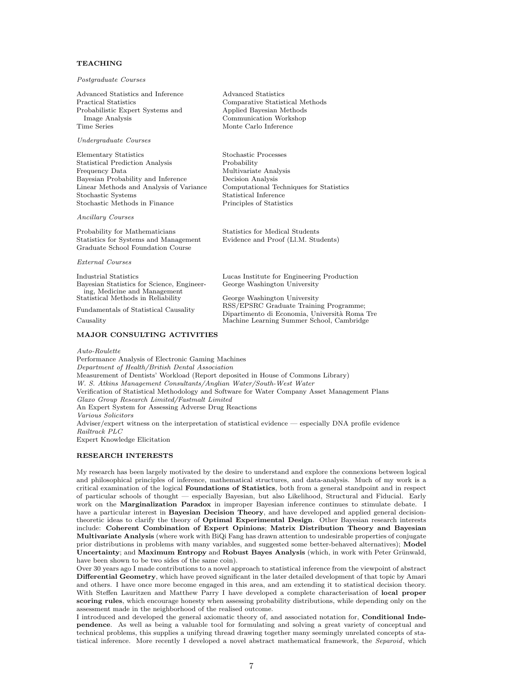### **TEACHING**

#### Postgraduate Courses

| Advanced Statistics and Inference<br>Practical Statistics<br>Probabilistic Expert Systems and<br>Image Analysis<br>Time Series                                                                                     | Advanced Statistics<br>Comparative Statistical Methods<br>Applied Bayesian Methods<br>Communication Workshop<br>Monte Carlo Inference                                             |
|--------------------------------------------------------------------------------------------------------------------------------------------------------------------------------------------------------------------|-----------------------------------------------------------------------------------------------------------------------------------------------------------------------------------|
| Undergraduate Courses                                                                                                                                                                                              |                                                                                                                                                                                   |
| Elementary Statistics<br>Statistical Prediction Analysis<br>Frequency Data<br>Bayesian Probability and Inference<br>Linear Methods and Analysis of Variance<br>Stochastic Systems<br>Stochastic Methods in Finance | Stochastic Processes<br>Probability<br>Multivariate Analysis<br>Decision Analysis<br>Computational Techniques for Statistics<br>Statistical Inference<br>Principles of Statistics |
| <i>Ancillary Courses</i>                                                                                                                                                                                           |                                                                                                                                                                                   |
| Probability for Mathematicians<br>Statistics for Systems and Management<br>Graduate School Foundation Course                                                                                                       | Statistics for Medical Students<br>Evidence and Proof (Ll.M. Students)                                                                                                            |
| External Courses                                                                                                                                                                                                   |                                                                                                                                                                                   |
| Industrial Statistics<br>Bayesian Statistics for Science, Engineer-<br>ing, Medicine and Management<br>Statistical Methods in Reliability                                                                          | Lucas Institute for Engineering Production<br>George Washington University<br>George Washington University                                                                        |
| Fundamentals of Statistical Causality<br>Causality                                                                                                                                                                 | RSS/EPSRC Graduate Training Programme;<br>Dipartimento di Economia, Università Roma Tre<br>Machine Learning Summer School, Cambridge                                              |

#### MAJOR CONSULTING ACTIVITIES

Auto-Roulette

Performance Analysis of Electronic Gaming Machines Department of Health/British Dental Association Measurement of Dentists' Workload (Report deposited in House of Commons Library) W. S. Atkins Management Consultants/Anglian Water/South-West Water Verification of Statistical Methodology and Software for Water Company Asset Management Plans Glaxo Group Research Limited/Fastmalt Limited An Expert System for Assessing Adverse Drug Reactions Various Solicitors Adviser/expert witness on the interpretation of statistical evidence — especially DNA profile evidence Railtrack PLC Expert Knowledge Elicitation

#### RESEARCH INTERESTS

My research has been largely motivated by the desire to understand and explore the connexions between logical and philosophical principles of inference, mathematical structures, and data-analysis. Much of my work is a critical examination of the logical Foundations of Statistics, both from a general standpoint and in respect of particular schools of thought — especially Bayesian, but also Likelihood, Structural and Fiducial. Early work on the Marginalization Paradox in improper Bayesian inference continues to stimulate debate. I have a particular interest in Bayesian Decision Theory, and have developed and applied general decisiontheoretic ideas to clarify the theory of Optimal Experimental Design. Other Bayesian research interests include: Coherent Combination of Expert Opinions; Matrix Distribution Theory and Bayesian Multivariate Analysis (where work with BiQi Fang has drawn attention to undesirable properties of conjugate prior distributions in problems with many variables, and suggested some better-behaved alternatives); Model Uncertainty; and Maximum Entropy and Robust Bayes Analysis (which, in work with Peter Grünwald, have been shown to be two sides of the same coin).

Over 30 years ago I made contributions to a novel approach to statistical inference from the viewpoint of abstract Differential Geometry, which have proved significant in the later detailed development of that topic by Amari and others. I have once more become engaged in this area, and am extending it to statistical decision theory. With Steffen Lauritzen and Matthew Parry I have developed a complete characterisation of local proper scoring rules, which encourage honesty when assessing probability distributions, while depending only on the assessment made in the neighborhood of the realised outcome.

I introduced and developed the general axiomatic theory of, and associated notation for, Conditional Independence. As well as being a valuable tool for formulating and solving a great variety of conceptual and technical problems, this supplies a unifying thread drawing together many seemingly unrelated concepts of statistical inference. More recently I developed a novel abstract mathematical framework, the Separoid, which